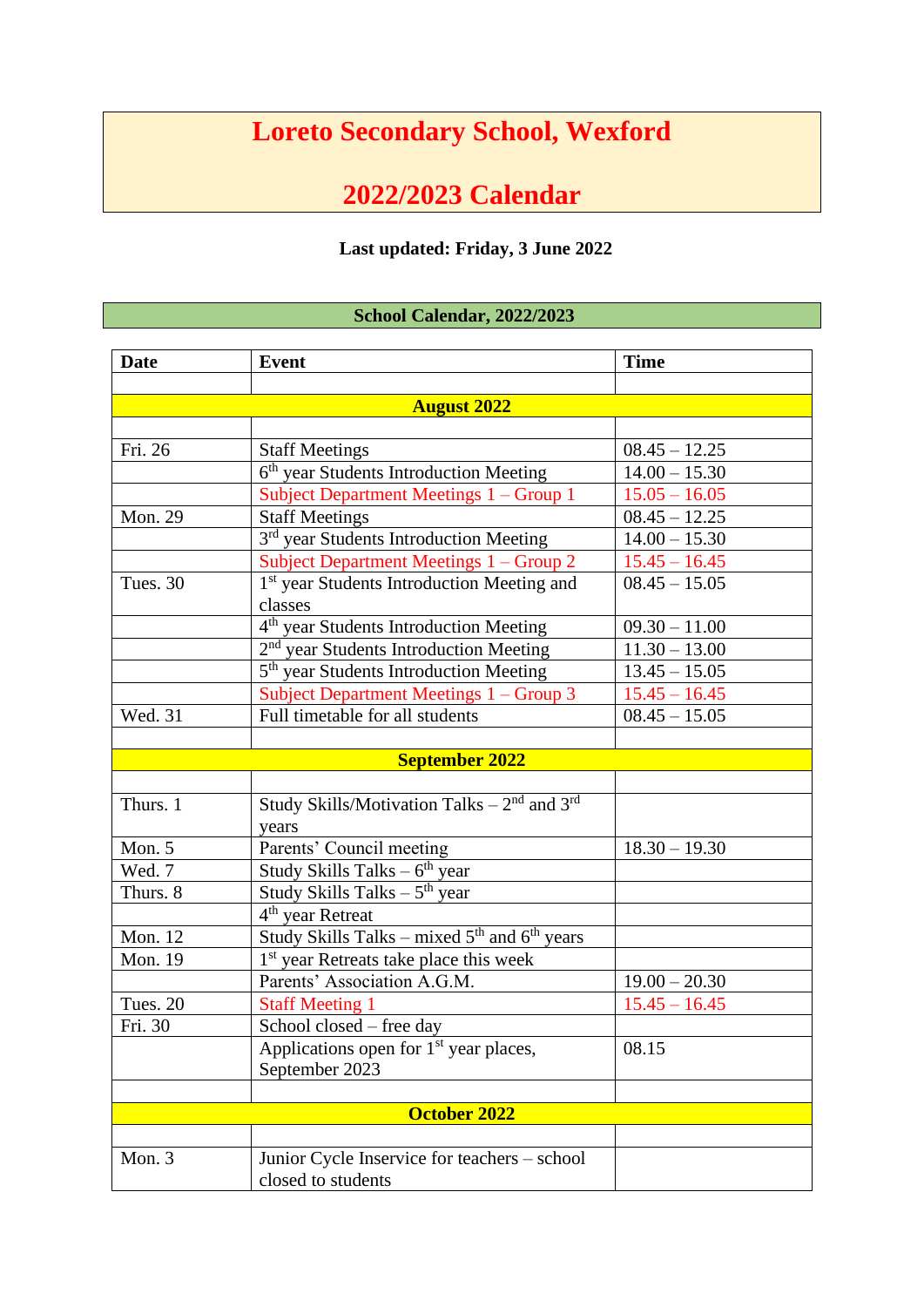## **Loreto Secondary School, Wexford**

## **2022/2023 Calendar**

## **Last updated: Friday, 3 June 2022**

## **School Calendar, 2022/2023**

| <b>Date</b>        | <b>Event</b>                                                | <b>Time</b>     |  |  |
|--------------------|-------------------------------------------------------------|-----------------|--|--|
|                    |                                                             |                 |  |  |
| <b>August 2022</b> |                                                             |                 |  |  |
|                    |                                                             |                 |  |  |
| Fri. 26            | <b>Staff Meetings</b>                                       | $08.45 - 12.25$ |  |  |
|                    | 6 <sup>th</sup> year Students Introduction Meeting          | $14.00 - 15.30$ |  |  |
|                    | Subject Department Meetings 1 - Group 1                     | $15.05 - 16.05$ |  |  |
| Mon. 29            | <b>Staff Meetings</b>                                       | $08.45 - 12.25$ |  |  |
|                    | 3 <sup>rd</sup> year Students Introduction Meeting          | $14.00 - 15.30$ |  |  |
|                    | Subject Department Meetings 1 - Group 2                     | $15.45 - 16.45$ |  |  |
| Tues. 30           | 1 <sup>st</sup> year Students Introduction Meeting and      | $08.45 - 15.05$ |  |  |
|                    | classes                                                     |                 |  |  |
|                    | 4 <sup>th</sup> year Students Introduction Meeting          | $09.30 - 11.00$ |  |  |
|                    | 2 <sup>nd</sup> year Students Introduction Meeting          | $11.30 - 13.00$ |  |  |
|                    | 5 <sup>th</sup> year Students Introduction Meeting          | $13.45 - 15.05$ |  |  |
|                    | Subject Department Meetings 1 - Group 3                     | $15.45 - 16.45$ |  |  |
| Wed. 31            | Full timetable for all students                             | $08.45 - 15.05$ |  |  |
|                    |                                                             |                 |  |  |
|                    | <b>September 2022</b>                                       |                 |  |  |
|                    |                                                             |                 |  |  |
| Thurs. 1           | Study Skills/Motivation Talks $-2^{nd}$ and 3 <sup>rd</sup> |                 |  |  |
|                    | years                                                       |                 |  |  |
| Mon. 5             | Parents' Council meeting                                    | $18.30 - 19.30$ |  |  |
| Wed. 7             | Study Skills Talks $-6th$ year                              |                 |  |  |
| Thurs. 8           | Study Skills Talks $-5th$ year                              |                 |  |  |
|                    | $4th$ year Retreat                                          |                 |  |  |
| Mon. 12            | Study Skills Talks – mixed $5th$ and $6th$ years            |                 |  |  |
| Mon. 19            | 1 <sup>st</sup> year Retreats take place this week          |                 |  |  |
|                    | Parents' Association A.G.M.                                 | $19.00 - 20.30$ |  |  |
| Tues. 20           | <b>Staff Meeting 1</b>                                      | $15.45 - 16.45$ |  |  |
| Fri. 30            | School closed - free day                                    |                 |  |  |
|                    | Applications open for 1 <sup>st</sup> year places,          | 08.15           |  |  |
|                    | September 2023                                              |                 |  |  |
|                    |                                                             |                 |  |  |
|                    | <b>October 2022</b>                                         |                 |  |  |
|                    |                                                             |                 |  |  |
| Mon. 3             | Junior Cycle Inservice for teachers - school                |                 |  |  |
|                    | closed to students                                          |                 |  |  |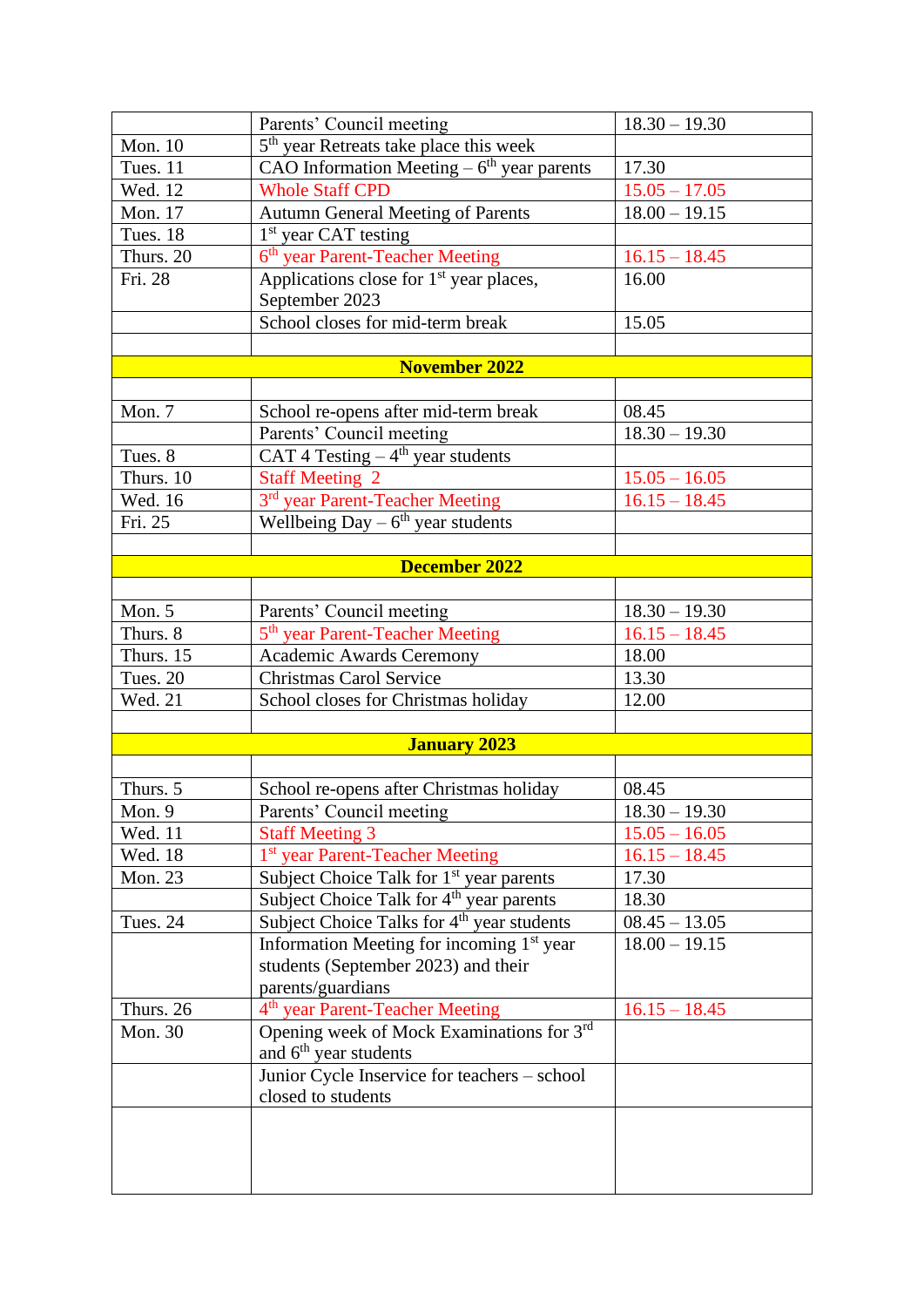|                | Parents' Council meeting                                         | $18.30 - 19.30$ |
|----------------|------------------------------------------------------------------|-----------------|
| Mon. 10        | 5 <sup>th</sup> year Retreats take place this week               |                 |
| Tues. 11       | CAO Information Meeting $-\overline{6}^{\text{th}}$ year parents | 17.30           |
| Wed. 12        | <b>Whole Staff CPD</b>                                           | $15.05 - 17.05$ |
| Mon. 17        | Autumn General Meeting of Parents                                | $18.00 - 19.15$ |
| Tues. 18       | $1st$ year CAT testing                                           |                 |
| Thurs. 20      | 6 <sup>th</sup> year Parent-Teacher Meeting                      | $16.15 - 18.45$ |
| Fri. 28        | Applications close for 1 <sup>st</sup> year places,              | 16.00           |
|                | September 2023                                                   |                 |
|                | School closes for mid-term break                                 | 15.05           |
|                |                                                                  |                 |
|                | <b>November 2022</b>                                             |                 |
|                |                                                                  |                 |
| Mon. 7         | School re-opens after mid-term break                             | 08.45           |
|                | Parents' Council meeting                                         | $18.30 - 19.30$ |
| Tues. 8        | CAT 4 Testing $-4$ <sup>th</sup> year students                   |                 |
| Thurs. 10      | <b>Staff Meeting 2</b>                                           | $15.05 - 16.05$ |
| Wed. 16        | 3 <sup>rd</sup> year Parent-Teacher Meeting                      | $16.15 - 18.45$ |
| Fri. 25        | Wellbeing $Day - 6th$ year students                              |                 |
|                |                                                                  |                 |
|                | <b>December 2022</b>                                             |                 |
|                |                                                                  |                 |
| Mon. 5         | Parents' Council meeting                                         | $18.30 - 19.30$ |
| Thurs. 8       | 5 <sup>th</sup> year Parent-Teacher Meeting                      | $16.15 - 18.45$ |
| Thurs. 15      | <b>Academic Awards Ceremony</b>                                  | 18.00           |
| Tues. 20       | <b>Christmas Carol Service</b>                                   | 13.30           |
| Wed. 21        | School closes for Christmas holiday                              | 12.00           |
|                |                                                                  |                 |
|                | <b>January 2023</b>                                              |                 |
|                |                                                                  |                 |
| Thurs. 5       | School re-opens after Christmas holiday                          | 08.45           |
| Mon. 9         | Parents' Council meeting                                         | $18.30 - 19.30$ |
| Wed. 11        | <b>Staff Meeting 3</b>                                           | $15.05 - 16.05$ |
| Wed. 18        | 1 <sup>st</sup> year Parent-Teacher Meeting                      | $16.15 - 18.45$ |
| <b>Mon. 23</b> | Subject Choice Talk for 1 <sup>st</sup> year parents             | 17.30           |
|                | Subject Choice Talk for 4 <sup>th</sup> year parents             | 18.30           |
| Tues. 24       | Subject Choice Talks for 4 <sup>th</sup> year students           | $08.45 - 13.05$ |
|                | Information Meeting for incoming 1 <sup>st</sup> year            | $18.00 - 19.15$ |
|                | students (September 2023) and their                              |                 |
| Thurs. 26      | parents/guardians<br>4 <sup>th</sup> year Parent-Teacher Meeting | $16.15 - 18.45$ |
| Mon. 30        | Opening week of Mock Examinations for 3rd                        |                 |
|                | and 6 <sup>th</sup> year students                                |                 |
|                | Junior Cycle Inservice for teachers - school                     |                 |
|                | closed to students                                               |                 |
|                |                                                                  |                 |
|                |                                                                  |                 |
|                |                                                                  |                 |
|                |                                                                  |                 |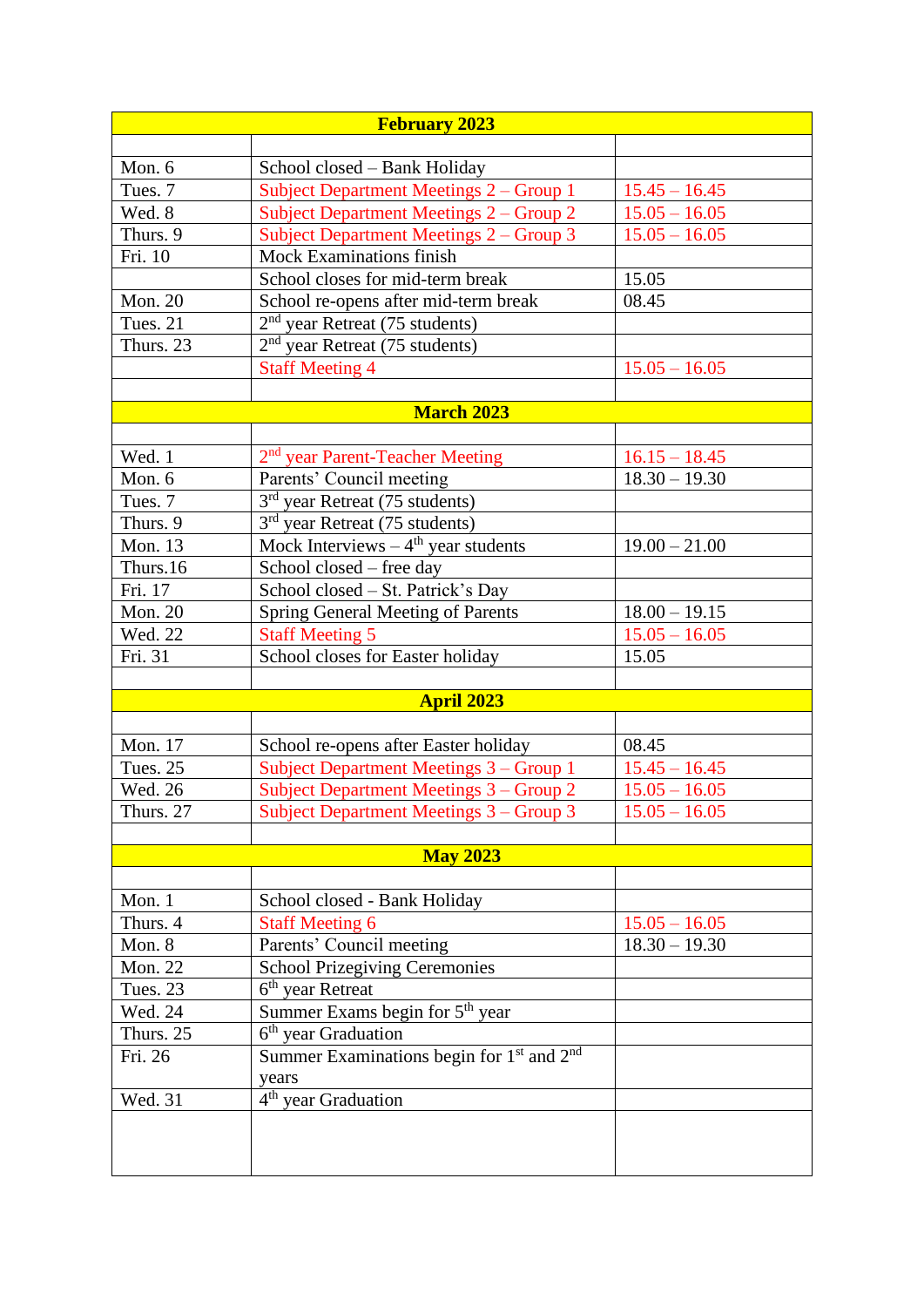| <b>February 2023</b>                    |                                                                                                                                                                                                                                                                                                                                                                                                                                                                                                                                                                                                                                                                                                                                                                                                                                                                                                                                                                                               |  |  |  |
|-----------------------------------------|-----------------------------------------------------------------------------------------------------------------------------------------------------------------------------------------------------------------------------------------------------------------------------------------------------------------------------------------------------------------------------------------------------------------------------------------------------------------------------------------------------------------------------------------------------------------------------------------------------------------------------------------------------------------------------------------------------------------------------------------------------------------------------------------------------------------------------------------------------------------------------------------------------------------------------------------------------------------------------------------------|--|--|--|
|                                         |                                                                                                                                                                                                                                                                                                                                                                                                                                                                                                                                                                                                                                                                                                                                                                                                                                                                                                                                                                                               |  |  |  |
| School closed - Bank Holiday            |                                                                                                                                                                                                                                                                                                                                                                                                                                                                                                                                                                                                                                                                                                                                                                                                                                                                                                                                                                                               |  |  |  |
| Subject Department Meetings 2 - Group 1 | $15.45 - 16.45$                                                                                                                                                                                                                                                                                                                                                                                                                                                                                                                                                                                                                                                                                                                                                                                                                                                                                                                                                                               |  |  |  |
| Subject Department Meetings 2 – Group 2 | $15.05 - 16.05$                                                                                                                                                                                                                                                                                                                                                                                                                                                                                                                                                                                                                                                                                                                                                                                                                                                                                                                                                                               |  |  |  |
| Subject Department Meetings 2 - Group 3 | $15.05 - 16.05$                                                                                                                                                                                                                                                                                                                                                                                                                                                                                                                                                                                                                                                                                                                                                                                                                                                                                                                                                                               |  |  |  |
| <b>Mock Examinations finish</b>         |                                                                                                                                                                                                                                                                                                                                                                                                                                                                                                                                                                                                                                                                                                                                                                                                                                                                                                                                                                                               |  |  |  |
| School closes for mid-term break        | 15.05                                                                                                                                                                                                                                                                                                                                                                                                                                                                                                                                                                                                                                                                                                                                                                                                                                                                                                                                                                                         |  |  |  |
| School re-opens after mid-term break    | 08.45                                                                                                                                                                                                                                                                                                                                                                                                                                                                                                                                                                                                                                                                                                                                                                                                                                                                                                                                                                                         |  |  |  |
| $2nd$ year Retreat (75 students)        |                                                                                                                                                                                                                                                                                                                                                                                                                                                                                                                                                                                                                                                                                                                                                                                                                                                                                                                                                                                               |  |  |  |
|                                         |                                                                                                                                                                                                                                                                                                                                                                                                                                                                                                                                                                                                                                                                                                                                                                                                                                                                                                                                                                                               |  |  |  |
| <b>Staff Meeting 4</b>                  | $15.05 - 16.05$                                                                                                                                                                                                                                                                                                                                                                                                                                                                                                                                                                                                                                                                                                                                                                                                                                                                                                                                                                               |  |  |  |
|                                         |                                                                                                                                                                                                                                                                                                                                                                                                                                                                                                                                                                                                                                                                                                                                                                                                                                                                                                                                                                                               |  |  |  |
| <b>March 2023</b>                       |                                                                                                                                                                                                                                                                                                                                                                                                                                                                                                                                                                                                                                                                                                                                                                                                                                                                                                                                                                                               |  |  |  |
|                                         |                                                                                                                                                                                                                                                                                                                                                                                                                                                                                                                                                                                                                                                                                                                                                                                                                                                                                                                                                                                               |  |  |  |
|                                         | $16.15 - 18.45$                                                                                                                                                                                                                                                                                                                                                                                                                                                                                                                                                                                                                                                                                                                                                                                                                                                                                                                                                                               |  |  |  |
|                                         | $18.30 - 19.30$                                                                                                                                                                                                                                                                                                                                                                                                                                                                                                                                                                                                                                                                                                                                                                                                                                                                                                                                                                               |  |  |  |
|                                         |                                                                                                                                                                                                                                                                                                                                                                                                                                                                                                                                                                                                                                                                                                                                                                                                                                                                                                                                                                                               |  |  |  |
|                                         |                                                                                                                                                                                                                                                                                                                                                                                                                                                                                                                                                                                                                                                                                                                                                                                                                                                                                                                                                                                               |  |  |  |
|                                         | $19.00 - 21.00$                                                                                                                                                                                                                                                                                                                                                                                                                                                                                                                                                                                                                                                                                                                                                                                                                                                                                                                                                                               |  |  |  |
|                                         |                                                                                                                                                                                                                                                                                                                                                                                                                                                                                                                                                                                                                                                                                                                                                                                                                                                                                                                                                                                               |  |  |  |
|                                         |                                                                                                                                                                                                                                                                                                                                                                                                                                                                                                                                                                                                                                                                                                                                                                                                                                                                                                                                                                                               |  |  |  |
|                                         | $18.00 - 19.15$                                                                                                                                                                                                                                                                                                                                                                                                                                                                                                                                                                                                                                                                                                                                                                                                                                                                                                                                                                               |  |  |  |
|                                         | $15.05 - 16.05$                                                                                                                                                                                                                                                                                                                                                                                                                                                                                                                                                                                                                                                                                                                                                                                                                                                                                                                                                                               |  |  |  |
|                                         | 15.05                                                                                                                                                                                                                                                                                                                                                                                                                                                                                                                                                                                                                                                                                                                                                                                                                                                                                                                                                                                         |  |  |  |
|                                         |                                                                                                                                                                                                                                                                                                                                                                                                                                                                                                                                                                                                                                                                                                                                                                                                                                                                                                                                                                                               |  |  |  |
|                                         |                                                                                                                                                                                                                                                                                                                                                                                                                                                                                                                                                                                                                                                                                                                                                                                                                                                                                                                                                                                               |  |  |  |
|                                         |                                                                                                                                                                                                                                                                                                                                                                                                                                                                                                                                                                                                                                                                                                                                                                                                                                                                                                                                                                                               |  |  |  |
|                                         | 08.45                                                                                                                                                                                                                                                                                                                                                                                                                                                                                                                                                                                                                                                                                                                                                                                                                                                                                                                                                                                         |  |  |  |
|                                         | $15.45 - 16.45$                                                                                                                                                                                                                                                                                                                                                                                                                                                                                                                                                                                                                                                                                                                                                                                                                                                                                                                                                                               |  |  |  |
|                                         | $15.05 - 16.05$                                                                                                                                                                                                                                                                                                                                                                                                                                                                                                                                                                                                                                                                                                                                                                                                                                                                                                                                                                               |  |  |  |
|                                         | $15.05 - 16.05$                                                                                                                                                                                                                                                                                                                                                                                                                                                                                                                                                                                                                                                                                                                                                                                                                                                                                                                                                                               |  |  |  |
|                                         |                                                                                                                                                                                                                                                                                                                                                                                                                                                                                                                                                                                                                                                                                                                                                                                                                                                                                                                                                                                               |  |  |  |
|                                         |                                                                                                                                                                                                                                                                                                                                                                                                                                                                                                                                                                                                                                                                                                                                                                                                                                                                                                                                                                                               |  |  |  |
|                                         |                                                                                                                                                                                                                                                                                                                                                                                                                                                                                                                                                                                                                                                                                                                                                                                                                                                                                                                                                                                               |  |  |  |
|                                         | $15.05 - 16.05$                                                                                                                                                                                                                                                                                                                                                                                                                                                                                                                                                                                                                                                                                                                                                                                                                                                                                                                                                                               |  |  |  |
|                                         | $18.30 - 19.30$                                                                                                                                                                                                                                                                                                                                                                                                                                                                                                                                                                                                                                                                                                                                                                                                                                                                                                                                                                               |  |  |  |
|                                         |                                                                                                                                                                                                                                                                                                                                                                                                                                                                                                                                                                                                                                                                                                                                                                                                                                                                                                                                                                                               |  |  |  |
|                                         |                                                                                                                                                                                                                                                                                                                                                                                                                                                                                                                                                                                                                                                                                                                                                                                                                                                                                                                                                                                               |  |  |  |
|                                         |                                                                                                                                                                                                                                                                                                                                                                                                                                                                                                                                                                                                                                                                                                                                                                                                                                                                                                                                                                                               |  |  |  |
|                                         |                                                                                                                                                                                                                                                                                                                                                                                                                                                                                                                                                                                                                                                                                                                                                                                                                                                                                                                                                                                               |  |  |  |
|                                         |                                                                                                                                                                                                                                                                                                                                                                                                                                                                                                                                                                                                                                                                                                                                                                                                                                                                                                                                                                                               |  |  |  |
|                                         |                                                                                                                                                                                                                                                                                                                                                                                                                                                                                                                                                                                                                                                                                                                                                                                                                                                                                                                                                                                               |  |  |  |
|                                         |                                                                                                                                                                                                                                                                                                                                                                                                                                                                                                                                                                                                                                                                                                                                                                                                                                                                                                                                                                                               |  |  |  |
|                                         |                                                                                                                                                                                                                                                                                                                                                                                                                                                                                                                                                                                                                                                                                                                                                                                                                                                                                                                                                                                               |  |  |  |
|                                         |                                                                                                                                                                                                                                                                                                                                                                                                                                                                                                                                                                                                                                                                                                                                                                                                                                                                                                                                                                                               |  |  |  |
|                                         |                                                                                                                                                                                                                                                                                                                                                                                                                                                                                                                                                                                                                                                                                                                                                                                                                                                                                                                                                                                               |  |  |  |
|                                         | 2 <sup>nd</sup> year Retreat (75 students)<br>2 <sup>nd</sup> year Parent-Teacher Meeting<br>Parents' Council meeting<br>3 <sup>rd</sup> year Retreat (75 students)<br>3 <sup>rd</sup> year Retreat (75 students)<br>Mock Interviews $-4$ <sup>th</sup> year students<br>School closed - free day<br>School closed - St. Patrick's Day<br>Spring General Meeting of Parents<br><b>Staff Meeting 5</b><br>School closes for Easter holiday<br><b>April 2023</b><br>School re-opens after Easter holiday<br>Subject Department Meetings 3 – Group 1<br>Subject Department Meetings 3 – Group 2<br>Subject Department Meetings 3 - Group 3<br><b>May 2023</b><br>School closed - Bank Holiday<br><b>Staff Meeting 6</b><br>Parents' Council meeting<br><b>School Prizegiving Ceremonies</b><br>6 <sup>th</sup> year Retreat<br>Summer Exams begin for $5th$ year<br>6 <sup>th</sup> year Graduation<br>Summer Examinations begin for $1st$ and $2nd$<br>years<br>4 <sup>th</sup> year Graduation |  |  |  |